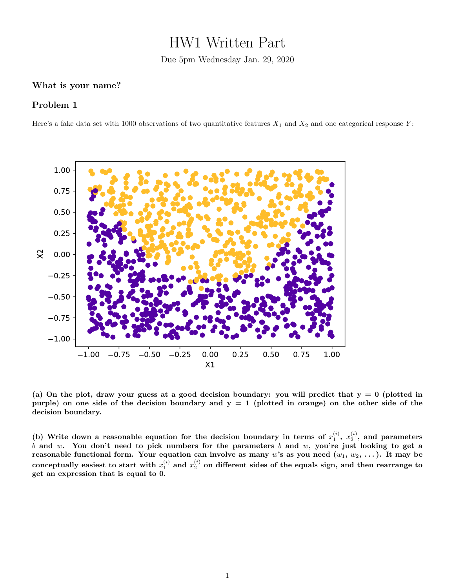## HW1 Written Part

Due 5pm Wednesday Jan. 29, 2020

## **What is your name?**

## **Problem 1**

Here's a fake data set with 1000 observations of two quantitative features  $X_1$  and  $X_2$  and one categorical response  $Y$ :



**(a) On the plot, draw your guess at a good decision boundary: you will predict that y = 0 (plotted in purple) on one side of the decision boundary and y = 1 (plotted in orange) on the other side of the decision boundary.**

(b) Write down a reasonable equation for the decision boundary in terms of  $x_1^{(i)}$ ,  $x_2^{(i)}$ , and parameters *b* **and** *w***. You don't need to pick numbers for the parameters** *b* **and** *w***, you're just looking to get a reasonable functional form. Your equation can involve as many** *w***'s as you need (***w*1**,** *w*2**, . . . ). It may be** conceptually easiest to start with  $x_1^{(i)}$  and  $x_2^{(i)}$  on different sides of the equals sign, and then rearrange to **get an expression that is equal to 0.**